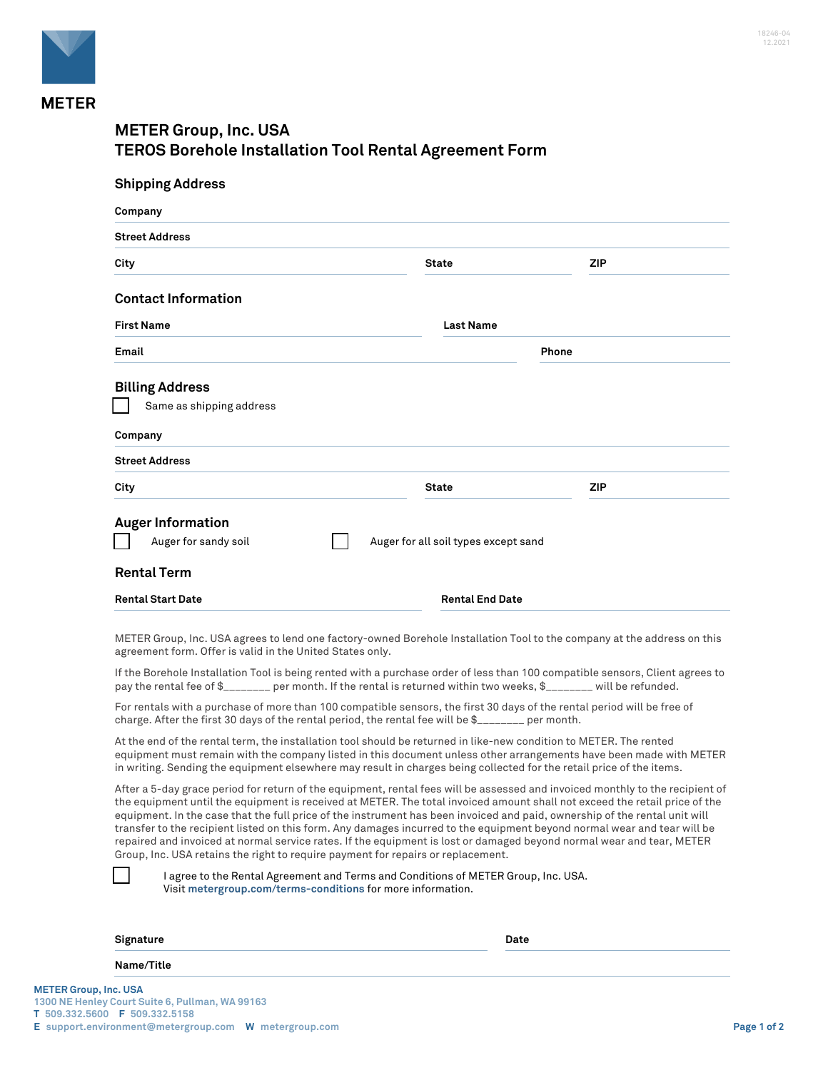

## **METER Group, Inc. USA TEROS Borehole Installation Tool Rental Agreement Form**

| <b>Shipping Address</b>                                                                                                                                                                                                                                                                                                                                                                                                                                                                                                                                                                                                                        |                                      |     |
|------------------------------------------------------------------------------------------------------------------------------------------------------------------------------------------------------------------------------------------------------------------------------------------------------------------------------------------------------------------------------------------------------------------------------------------------------------------------------------------------------------------------------------------------------------------------------------------------------------------------------------------------|--------------------------------------|-----|
| Company                                                                                                                                                                                                                                                                                                                                                                                                                                                                                                                                                                                                                                        |                                      |     |
| <b>Street Address</b>                                                                                                                                                                                                                                                                                                                                                                                                                                                                                                                                                                                                                          |                                      |     |
| City                                                                                                                                                                                                                                                                                                                                                                                                                                                                                                                                                                                                                                           | <b>State</b>                         | ZIP |
| <b>Contact Information</b>                                                                                                                                                                                                                                                                                                                                                                                                                                                                                                                                                                                                                     |                                      |     |
| <b>First Name</b>                                                                                                                                                                                                                                                                                                                                                                                                                                                                                                                                                                                                                              | <b>Last Name</b>                     |     |
| Email                                                                                                                                                                                                                                                                                                                                                                                                                                                                                                                                                                                                                                          | Phone                                |     |
| <b>Billing Address</b><br>Same as shipping address                                                                                                                                                                                                                                                                                                                                                                                                                                                                                                                                                                                             |                                      |     |
| Company                                                                                                                                                                                                                                                                                                                                                                                                                                                                                                                                                                                                                                        |                                      |     |
| <b>Street Address</b>                                                                                                                                                                                                                                                                                                                                                                                                                                                                                                                                                                                                                          |                                      |     |
| City                                                                                                                                                                                                                                                                                                                                                                                                                                                                                                                                                                                                                                           | State                                | ZIP |
| <b>Auger Information</b><br>Auger for sandy soil<br><b>Rental Term</b>                                                                                                                                                                                                                                                                                                                                                                                                                                                                                                                                                                         | Auger for all soil types except sand |     |
| <b>Rental Start Date</b>                                                                                                                                                                                                                                                                                                                                                                                                                                                                                                                                                                                                                       | <b>Rental End Date</b>               |     |
| METER Group, Inc. USA agrees to lend one factory-owned Borehole Installation Tool to the company at the address on this<br>agreement form. Offer is valid in the United States only.                                                                                                                                                                                                                                                                                                                                                                                                                                                           |                                      |     |
| If the Borehole Installation Tool is being rented with a purchase order of less than 100 compatible sensors, Client agrees to<br>pay the rental fee of \$_______ per month. If the rental is returned within two weeks, \$_______ will be refunded.                                                                                                                                                                                                                                                                                                                                                                                            |                                      |     |
| For rentals with a purchase of more than 100 compatible sensors, the first 30 days of the rental period will be free of<br>charge. After the first 30 days of the rental period, the rental fee will be \$                                                                                                                                                                                                                                                                                                                                                                                                                                     |                                      |     |
| At the end of the rental term, the installation tool should be returned in like-new condition to METER. The rented<br>equipment must remain with the company listed in this document unless other arrangements have been made with METER<br>in writing. Sending the equipment elsewhere may result in charges being collected for the retail price of the items.                                                                                                                                                                                                                                                                               |                                      |     |
| After a 5-day grace period for return of the equipment, rental fees will be assessed and invoiced monthly to the recipient of<br>the equipment until the equipment is received at METER. The total invoiced amount shall not exceed the retail price of the<br>equipment. In the case that the full price of the instrument has been invoiced and paid, ownership of the rental unit will<br>transfer to the recipient listed on this form. Any damages incurred to the equipment beyond normal wear and tear will be<br>repaired and invoiced at normal service rates. If the equipment is lost or damaged beyond normal wear and tear, METER |                                      |     |

Group, Inc. USA retains the right to require payment for repairs or replacement.

| I agree to the Rental Agreement and Terms and Conditions of METER Group, Inc. USA. |
|------------------------------------------------------------------------------------|
| Visit metergroup.com/terms-conditions for more information.                        |
|                                                                                    |

| Signature      | Date |
|----------------|------|
| Name/Title     |      |
| $1.73 - 1.104$ |      |

 $\blacksquare$